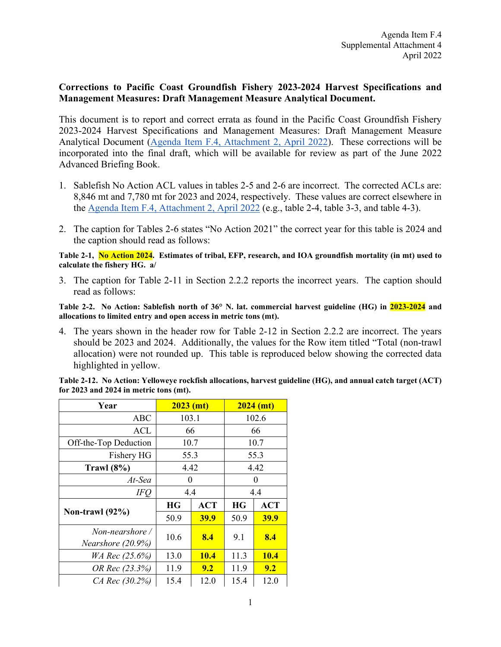## **Corrections to Pacific Coast Groundfish Fishery 2023-2024 Harvest Specifications and Management Measures: Draft Management Measure Analytical Document.**

This document is to report and correct errata as found in the Pacific Coast Groundfish Fishery 2023-2024 Harvest Specifications and Management Measures: Draft Management Measure Analytical Document [\(Agenda Item F.4, Attachment 2, April 2022\)](https://www.pcouncil.org/documents/2022/03/f-4-attachment-2-2023-2024-management-measure-analytical-document-electronic-only.pdf/). These corrections will be incorporated into the final draft, which will be available for review as part of the June 2022 Advanced Briefing Book.

- 1. Sablefish No Action ACL values in tables 2-5 and 2-6 are incorrect. The corrected ACLs are: 8,846 mt and 7,780 mt for 2023 and 2024, respectively. These values are correct elsewhere in the [Agenda Item F.4, Attachment 2, April 2022](https://www.pcouncil.org/documents/2022/03/f-4-attachment-2-2023-2024-management-measure-analytical-document-electronic-only.pdf/) (e.g., table 2-4, table 3-3, and table 4-3).
- 2. The caption for Tables 2-6 states "No Action 2021" the correct year for this table is 2024 and the caption should read as follows:

**Table 2-1, No Action 2024. Estimates of tribal, EFP, research, and IOA groundfish mortality (in mt) used to calculate the fishery HG. a/**

3. The caption for Table 2-11 in Section 2.2.2 reports the incorrect years. The caption should read as follows:

**Table 2-2. No Action: Sablefish north of 36° N. lat. commercial harvest guideline (HG) in 2023-2024 and allocations to limited entry and open access in metric tons (mt).**

4. The years shown in the header row for Table 2-12 in Section 2.2.2 are incorrect. The years should be 2023 and 2024. Additionally, the values for the Row item titled "Total (non-trawl allocation) were not rounded up. This table is reproduced below showing the corrected data highlighted in yellow.

| Year                                    | $2023$ (mt) |             | $2024$ (mt) |             |
|-----------------------------------------|-------------|-------------|-------------|-------------|
| ABC                                     | 103.1       |             | 102.6       |             |
| <b>ACL</b>                              | 66          |             | 66          |             |
| Off-the-Top Deduction                   | 10.7        |             | 10.7        |             |
| Fishery HG                              | 55.3        |             | 55.3        |             |
| Trawl $(8\%)$                           | 4.42        |             | 4.42        |             |
| At-Sea                                  | 0           |             | $\theta$    |             |
| IFQ                                     | 4.4         |             | 4.4         |             |
| Non-trawl $(92\%)$                      | <b>HG</b>   | <b>ACT</b>  | <b>HG</b>   | <b>ACT</b>  |
|                                         | 50.9        | <b>39.9</b> | 50.9        | <b>39.9</b> |
| Non-nearshore /<br>Nearshore $(20.9\%)$ | 10.6        | 8.4         | 9.1         | 8.4         |
| WA Rec (25.6%)                          | 13.0        | <b>10.4</b> | 11.3        | <b>10.4</b> |
| OR Rec (23.3%)                          | 11.9        | 9.2         | 11.9        | 9.2         |
| CA Rec (30.2%)                          | 15.4        | 12.0        | 15.4        | 12.0        |

**Table 2-12. No Action: Yelloweye rockfish allocations, harvest guideline (HG), and annual catch target (ACT) for 2023 and 2024 in metric tons (mt).**